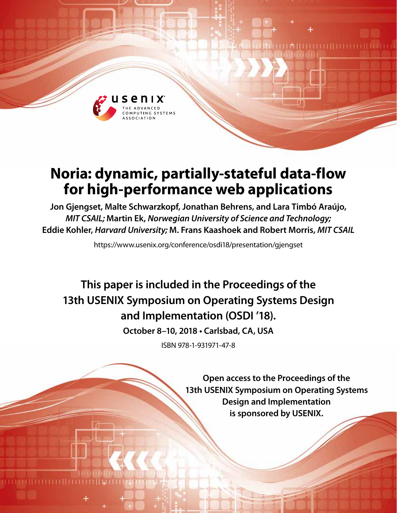

# **Noria: dynamic, partially-stateful data-flow for high-performance web applications**

**Jon Gjengset, Malte Schwarzkopf, Jonathan Behrens, and Lara Timbó Araújo,**  *MIT CSAIL;* **Martin Ek,** *Norwegian University of Science and Technology;*  **Eddie Kohler,** *Harvard University;* **M. Frans Kaashoek and Robert Morris,** *MIT CSAIL*

https://www.usenix.org/conference/osdi18/presentation/gjengset

**This paper is included in the Proceedings of the 13th USENIX Symposium on Operating Systems Design and Implementation (OSDI '18).**

**October 8–10, 2018 • Carlsbad, CA, USA**

ISBN 978-1-931971-47-8

**Open access to the Proceedings of the 13th USENIX Symposium on Operating Systems Design and Implementation is sponsored by USENIX.**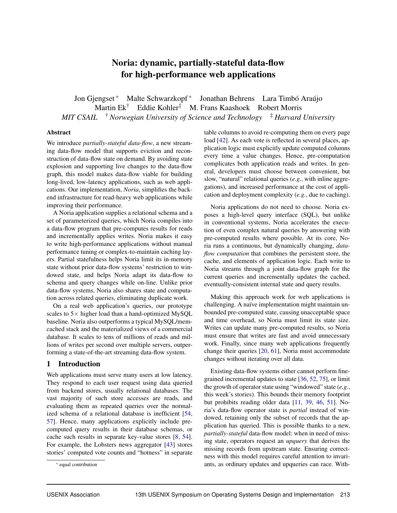## Noria: dynamic, partially-stateful data-flow for high-performance web applications

Jon Gjengset ∗ Malte Schwarzkopf ∗ Jonathan Behrens Lara Timbó Araújo Martin Ek† Eddie Kohler‡ M. Frans Kaashoek Robert Morris *MIT CSAIL* † *Norwegian University of Science and Technology* ‡ *Harvard University*

## Abstract

We introduce *partially-stateful data-flow*, a new streaming data-flow model that supports eviction and reconstruction of data-flow state on demand. By avoiding state explosion and supporting live changes to the data-flow graph, this model makes data-flow viable for building long-lived, low-latency applications, such as web applications. Our implementation, *Noria*, simplifies the backend infrastructure for read-heavy web applications while improving their performance.

A Noria application supplies a relational schema and a set of parameterized queries, which Noria compiles into a data-flow program that pre-computes results for reads and incrementally applies writes. Noria makes it easy to write high-performance applications without manual performance tuning or complex-to-maintain caching layers. Partial statefulness helps Noria limit its in-memory state without prior data-flow systems' restriction to windowed state, and helps Noria adapt its data-flow to schema and query changes while on-line. Unlike prior data-flow systems, Noria also shares state and computation across related queries, eliminating duplicate work.

On a real web application's queries, our prototype scales to  $5\times$  higher load than a hand-optimized MySQL baseline. Noria also outperforms a typical MySQL/memcached stack and the materialized views of a commercial database. It scales to tens of millions of reads and millions of writes per second over multiple servers, outperforming a state-of-the-art streaming data-flow system.

## 1 Introduction

Web applications must serve many users at low latency. They respond to each user request using data queried from backend stores, usually relational databases. The vast majority of such store accesses are reads, and evaluating them as repeated queries over the normalized schema of a relational database is inefficient [54, 57]. Hence, many applications explicitly include precomputed query results in their database schemas, or cache such results in separate key-value stores [8, 54]. For example, the Lobsters news aggregator [43] stores stories' computed vote counts and "hotness" in separate table columns to avoid re-computing them on every page load [42]. As each vote is reflected in several places, application logic must explicitly update computed columns every time a value changes. Hence, pre-computation complicates both application reads and writes. In general, developers must choose between convenient, but slow, "natural" relational queries (*e.g.*, with inline aggregations), and increased performance at the cost of application and deployment complexity (*e.g.*, due to caching).

Noria applications do not need to choose. Noria exposes a high-level query interface (SQL), but unlike in conventional systems, Noria accelerates the execution of even complex natural queries by answering with pre-computed results where possible. At its core, Noria runs a continuous, but dynamically changing, *dataflow computation* that combines the persistent store, the cache, and elements of application logic. Each write to Noria streams through a joint data-flow graph for the current queries and incrementally updates the cached, eventually-consistent internal state and query results.

Making this approach work for web applications is challenging. A naïve implementation might maintain unbounded pre-computed state, causing unacceptable space and time overhead, so Noria must limit its state size. Writes can update many pre-computed results, so Noria must ensure that writes are fast and avoid unnecessary work. Finally, since many web applications frequently change their queries [20, 61], Noria must accommodate changes without iterating over all data.

Existing data-flow systems either cannot perform finegrained incremental updates to state [36, 52, 75], or limit the growth of operator state using "windowed" state (*e.g.*, this week's stories). This bounds their memory footprint but prohibits reading older data [11, 39, 46, 51]. Noria's data-flow operator state is *partial* instead of windowed, retaining only the subset of records that the application has queried. This is possible thanks to a new, *partially-stateful* data-flow model: when in need of missing state, operators request an *upquery* that derives the missing records from upstream state. Ensuring correctness with this model requires careful attention to invariants, as ordinary updates and upqueries can race. With-

<sup>∗</sup> equal contribution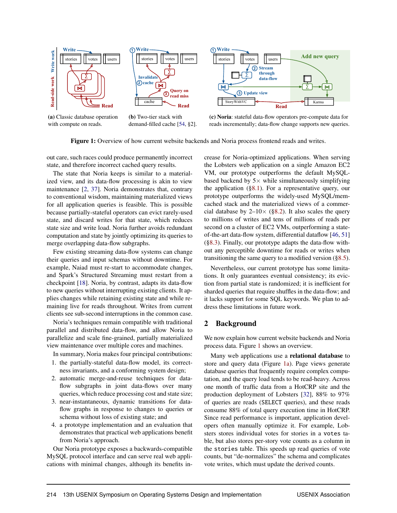



(c) Noria: stateful data-flow operators pre-compute data for reads incrementally; data-flow change supports new queries.

Figure 1: Overview of how current website backends and Noria process frontend reads and writes.

out care, such races could produce permanently incorrect state, and therefore incorrect cached query results.

The state that Noria keeps is similar to a materialized view, and its data-flow processing is akin to view maintenance [2, 37]. Noria demonstrates that, contrary to conventional wisdom, maintaining materialized views for all application queries is feasible. This is possible because partially-stateful operators can evict rarely-used state, and discard writes for that state, which reduces state size and write load. Noria further avoids redundant computation and state by jointly optimizing its queries to merge overlapping data-flow subgraphs.

Few existing streaming data-flow systems can change their queries and input schemas without downtime. For example, Naiad must re-start to accommodate changes, and Spark's Structured Streaming must restart from a checkpoint [18]. Noria, by contrast, adapts its data-flow to new queries without interrupting existing clients. It applies changes while retaining existing state and while remaining live for reads throughout. Writes from current clients see sub-second interruptions in the common case.

Noria's techniques remain compatible with traditional parallel and distributed data-flow, and allow Noria to parallelize and scale fine-grained, partially materialized view maintenance over multiple cores and machines.

In summary, Noria makes four principal contributions:

- 1. the partially-stateful data-flow model, its correctness invariants, and a conforming system design;
- 2. automatic merge-and-reuse techniques for dataflow subgraphs in joint data-flows over many queries, which reduce processing cost and state size;
- 3. near-instantaneous, dynamic transitions for dataflow graphs in response to changes to queries or schema without loss of existing state; and
- 4. a prototype implementation and an evaluation that demonstrates that practical web applications benefit from Noria's approach.

Our Noria prototype exposes a backwards-compatible MySQL protocol interface and can serve real web applications with minimal changes, although its benefits increase for Noria-optimized applications. When serving the Lobsters web application on a single Amazon EC2 VM, our prototype outperforms the default MySQLbased backend by  $5 \times$  while simultaneously simplifying the application (§8.1). For a representative query, our prototype outperforms the widely-used MySQL/memcached stack and the materialized views of a commercial database by  $2{\text -}10\times$  (§8.2). It also scales the query to millions of writes and tens of millions of reads per second on a cluster of EC2 VMs, outperforming a stateof-the-art data-flow system, differential dataflow [46, 51] (§8.3). Finally, our prototype adapts the data-flow without any perceptible downtime for reads or writes when transitioning the same query to a modified version (§8.5).

Nevertheless, our current prototype has some limitations. It only guarantees eventual consistency; its eviction from partial state is randomized; it is inefficient for sharded queries that require shuffles in the data-flow; and it lacks support for some SQL keywords. We plan to address these limitations in future work.

## 2 Background

We now explain how current website backends and Noria process data. Figure 1 shows an overview.

Many web applications use a relational database to store and query data (Figure 1a). Page views generate database queries that frequently require complex computation, and the query load tends to be read-heavy. Across one month of traffic data from a HotCRP site and the production deployment of Lobsters [32], 88% to 97% of queries are reads (SELECT queries), and these reads consume 88% of total query execution time in HotCRP. Since read performance is important, application developers often manually optimize it. For example, Lobsters stores individual votes for stories in a votes table, but also stores per-story vote counts as a column in the stories table. This speeds up read queries of vote counts, but "de-normalizes" the schema and complicates vote writes, which must update the derived counts.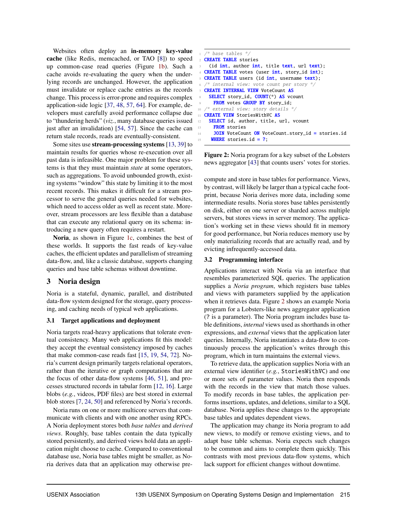Websites often deploy an **in-memory key-value** cache (like Redis, memcached, or TAO [8]) to speed up common-case read queries (Figure 1b). Such a cache avoids re-evaluating the query when the underlying records are unchanged. However, the application must invalidate or replace cache entries as the records change. This process is error-prone and requires complex application-side logic [37, 48, 57, 64]. For example, developers must carefully avoid performance collapse due to "thundering herds" (*viz.*, many database queries issued just after an invalidation) [54, 57]. Since the cache can return stale records, reads are eventually-consistent.

Some sites use stream-processing systems [13, 39] to maintain results for queries whose re-execution over all past data is infeasible. One major problem for these systems is that they must maintain *state* at some operators, such as aggregations. To avoid unbounded growth, existing systems "window" this state by limiting it to the most recent records. This makes it difficult for a stream processor to serve the general queries needed for websites, which need to access older as well as recent state. Moreover, stream processors are less flexible than a database that can execute any relational query on its schema: introducing a new query often requires a restart.

Noria, as shown in Figure 1c, combines the best of these worlds. It supports the fast reads of key-value caches, the efficient updates and parallelism of streaming data-flow, and, like a classic database, supports changing queries and base table schemas without downtime.

## 3 Noria design

Noria is a stateful, dynamic, parallel, and distributed data-flow system designed for the storage, query processing, and caching needs of typical web applications.

#### 3.1 Target applications and deployment

Noria targets read-heavy applications that tolerate eventual consistency. Many web applications fit this model: they accept the eventual consistency imposed by caches that make common-case reads fast [15, 19, 54, 72]. Noria's current design primarily targets relational operators, rather than the iterative or graph computations that are the focus of other data-flow systems [46, 51], and processes structured records in tabular form [12, 16]. Large blobs (*e.g.*, videos, PDF files) are best stored in external blob stores [7, 24, 50] and referenced by Noria's records.

Noria runs on one or more multicore servers that communicate with clients and with one another using RPCs. A Noria deployment stores both *base tables* and *derived views*. Roughly, base tables contain the data typically stored persistently, and derived views hold data an application might choose to cache. Compared to conventional database use, Noria base tables might be smaller, as Noria derives data that an application may otherwise pre-

```
/* base tables */
2 CREATE TABLE stories
    (id int, author int, title text, url text);
  CREATE TABLE votes (user int, story_id int);
  CREATE TABLE users (id int, username text);
  /* internal view: vote count per story */CREATE INTERNAL VIEW VoteCount AS
    SELECT story_id, COUNT(*) AS vcount
     FROM votes GROUP BY story_id;
  /* external view: story details *11 CREATE VIEW StoriesWithVC AS
12 SELECT id, author, title, url, vcount
     FROM stories
14 JOIN VoteCount ON VoteCount.story_id = stories.id
    WHERE stories.id = ?;
```
Figure 2: Noria program for a key subset of the Lobsters news aggregator [43] that counts users' votes for stories.

compute and store in base tables for performance. Views, by contrast, will likely be larger than a typical cache footprint, because Noria derives more data, including some intermediate results. Noria stores base tables persistently on disk, either on one server or sharded across multiple servers, but stores views in server memory. The application's working set in these views should fit in memory for good performance, but Noria reduces memory use by only materializing records that are actually read, and by evicting infrequently-accessed data.

#### 3.2 Programming interface

Applications interact with Noria via an interface that resembles parameterized SQL queries. The application supplies a *Noria program*, which registers base tables and views with parameters supplied by the application when it retrieves data. Figure 2 shows an example Noria program for a Lobsters-like news aggregator application (? is a parameter). The Noria program includes base table definitions, *internal* views used as shorthands in other expressions, and *external* views that the application later queries. Internally, Noria instantiates a data-flow to continuously process the application's writes through this program, which in turn maintains the external views.

To retrieve data, the application supplies Noria with an external view identifier (*e.g.*, StoriesWithVC) and one or more sets of parameter values. Noria then responds with the records in the view that match those values. To modify records in base tables, the application performs insertions, updates, and deletions, similar to a SQL database. Noria applies these changes to the appropriate base tables and updates dependent views.

The application may change its Noria program to add new views, to modify or remove existing views, and to adapt base table schemas. Noria expects such changes to be common and aims to complete them quickly. This contrasts with most previous data-flow systems, which lack support for efficient changes without downtime.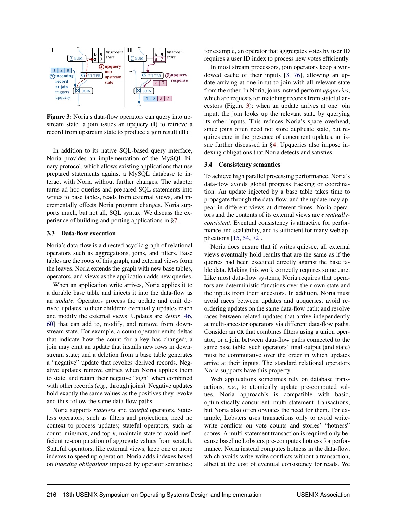

record from upstream state to produce a join result (II). Figure 3: Noria's data-flow operators can query into upstream state: a join issues an upquery (I) to retrieve a

In addition to its native SQL-based query interface, Noria provides an implementation of the MySQL binary protocol, which allows existing applications that use prepared statements against a MySQL database to interact with Noria without further changes. The adapter turns ad-hoc queries and prepared SQL statements into writes to base tables, reads from external views, and incrementally effects Noria program changes. Noria supports much, but not all, SQL syntax. We discuss the experience of building and porting applications in §7.

#### 3.3 Data-flow execution

Noria's data-flow is a directed acyclic graph of relational operators such as aggregations, joins, and filters. Base tables are the roots of this graph, and external views form the leaves. Noria extends the graph with new base tables, operators, and views as the application adds new queries.

When an application write arrives, Noria applies it to a durable base table and injects it into the data-flow as an *update*. Operators process the update and emit derived updates to their children; eventually updates reach and modify the external views. Updates are *deltas* [46, 60] that can add to, modify, and remove from downstream state. For example, a count operator emits deltas that indicate how the count for a key has changed; a join may emit an update that installs new rows in downstream state; and a deletion from a base table generates a "negative" update that revokes derived records. Negative updates remove entries when Noria applies them to state, and retain their negative "sign" when combined with other records (*e.g.*, through joins). Negative updates hold exactly the same values as the positives they revoke and thus follow the same data-flow paths.

Noria supports *stateless* and *stateful* operators. Stateless operators, such as filters and projections, need no context to process updates; stateful operators, such as count, min/max, and top-*k*, maintain state to avoid inefficient re-computation of aggregate values from scratch. Stateful operators, like external views, keep one or more indexes to speed up operation. Noria adds indexes based on *indexing obligations* imposed by operator semantics; for example, an operator that aggregates votes by user ID requires a user ID index to process new votes efficiently.

In most stream processors, join operators keep a windowed cache of their inputs [3, 76], allowing an update arriving at one input to join with all relevant state from the other. In Noria, joins instead perform *upqueries*, which are requests for matching records from stateful ancestors (Figure 3): when an update arrives at one join input, the join looks up the relevant state by querying its other inputs. This reduces Noria's space overhead, since joins often need not store duplicate state, but requires care in the presence of concurrent updates, an issue further discussed in §4. Upqueries also impose indexing obligations that Noria detects and satisfies.

#### 3.4 Consistency semantics

To achieve high parallel processing performance, Noria's data-flow avoids global progress tracking or coordination. An update injected by a base table takes time to propagate through the data-flow, and the update may appear in different views at different times. Noria operators and the contents of its external views are *eventuallyconsistent*. Eventual consistency is attractive for performance and scalability, and is sufficient for many web applications [15, 54, 72].

Noria does ensure that if writes quiesce, all external views eventually hold results that are the same as if the queries had been executed directly against the base table data. Making this work correctly requires some care. Like most data-flow systems, Noria requires that operators are deterministic functions over their own state and the inputs from their ancestors. In addition, Noria must avoid races between updates and upqueries; avoid reordering updates on the same data-flow path; and resolve races between related updates that arrive independently at multi-ancestor operators via different data-flow paths. Consider an OR that combines filters using a union operator, or a join between data-flow paths connected to the same base table: such operators' final output (and state) must be commutative over the order in which updates arrive at their inputs. The standard relational operators Noria supports have this property.

Web applications sometimes rely on database transactions, *e.g.*, to atomically update pre-computed values. Noria approach's is compatible with basic, optimistically-concurrent multi-statement transactions, but Noria also often obviates the need for them. For example, Lobsters uses transactions only to avoid writewrite conflicts on vote counts and stories' "hotness" scores. A multi-statement transaction is required only because baseline Lobsters pre-computes hotness for performance. Noria instead computes hotness in the data-flow, which avoids write-write conflicts without a transaction, albeit at the cost of eventual consistency for reads. We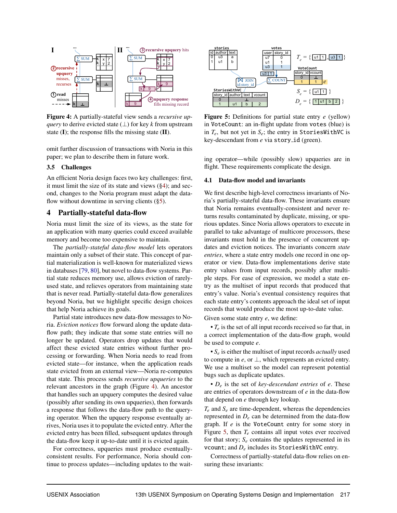

Figure 4: A partially-stateful view sends a *recursive upquery* to derive evicted state  $(⊥)$  for key *k* from upstream state  $(I)$ ; the response fills the missing state  $(II)$ .

omit further discussion of transactions with Noria in this paper; we plan to describe them in future work.

#### 3.5 Challenges

An efficient Noria design faces two key challenges: first, it must limit the size of its state and views  $(\S 4)$ ; and second, changes to the Noria program must adapt the dataflow without downtime in serving clients  $(\S 5)$ .

## 4 Partially-stateful data-flow

Noria must limit the size of its views, as the state for an application with many queries could exceed available memory and become too expensive to maintain.

The *partially-stateful data-flow model* lets operators maintain only a subset of their state. This concept of partial materialization is well-known for materialized views in databases [79, 80], but novel to data-flow systems. Partial state reduces memory use, allows eviction of rarelyused state, and relieves operators from maintaining state that is never read. Partially-stateful data-flow generalizes beyond Noria, but we highlight specific design choices that help Noria achieve its goals.

Partial state introduces new data-flow messages to Noria. *Eviction notices* flow forward along the update dataflow path; they indicate that some state entries will no longer be updated. Operators drop updates that would affect these evicted state entries without further processing or forwarding. When Noria needs to read from evicted state—for instance, when the application reads state evicted from an external view—Noria re-computes that state. This process sends *recursive upqueries* to the relevant ancestors in the graph (Figure 4). An ancestor that handles such an upquery computes the desired value (possibly after sending its own upqueries), then forwards a response that follows the data-flow path to the querying operator. When the upquery response eventually arrives, Noria uses it to populate the evicted entry. After the evicted entry has been filled, subsequent updates through the data-flow keep it up-to-date until it is evicted again.

For correctness, upqueries must produce eventuallyconsistent results. For performance, Noria should continue to process updates—including updates to the wait-



Figure 5: Definitions for partial state entry *e* (yellow) in VoteCount: an in-flight update from votes (blue) is in  $T_e$ , but not yet in  $S_e$ ; the entry in StoriesWithVC is key-descendant from *e* via story<sub>-1</sub>d (green).

ing operator—while (possibly slow) upqueries are in flight. These requirements complicate the design.

#### 4.1 Data-flow model and invariants

We first describe high-level correctness invariants of Noria's partially-stateful data-flow. These invariants ensure that Noria remains eventually-consistent and never returns results contaminated by duplicate, missing, or spurious updates. Since Noria allows operators to execute in parallel to take advantage of multicore processors, these invariants must hold in the presence of concurrent updates and eviction notices. The invariants concern *state entries*, where a state entry models one record in one operator or view. Data-flow implementations derive state entry values from input records, possibly after multiple steps. For ease of expression, we model a state entry as the multiset of input records that produced that entry's value. Noria's eventual consistency requires that each state entry's contents approach the ideal set of input records that would produce the most up-to-date value.

Given some state entry *e*, we define:

• *T<sup>e</sup>* is the set of all input records received so far that, in a correct implementation of the data-flow graph, would be used to compute *e*.

• *S<sup>e</sup>* is either the multiset of input records *actually* used to compute in  $e$ , or  $\perp$ , which represents an evicted entry. We use a multiset so the model can represent potential bugs such as duplicate updates.

• *D<sup>e</sup>* is the set of *key-descendant entries* of *e*. These are entries of operators downstream of *e* in the data-flow that depend on *e* through key lookup.

 $T_e$  and  $S_e$  are time-dependent, whereas the dependencies represented in  $D_e$  can be determined from the data-flow graph. If *e* is the VoteCount entry for some story in Figure 5, then *T<sup>e</sup>* contains all input votes ever received for that story;  $S_e$  contains the updates represented in its vcount; and *D<sup>e</sup>* includes its StoriesWithVC entry.

Correctness of partially-stateful data-flow relies on ensuring these invariants: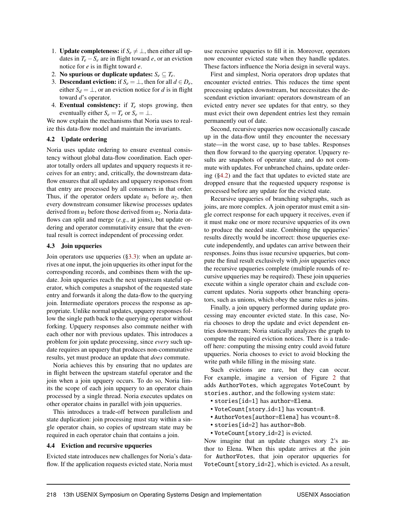- 1. **Update completeness:** if  $S_e \neq \perp$ , then either all updates in  $T_e - S_e$  are in flight toward *e*, or an eviction notice for *e* is in flight toward *e*.
- 2. No spurious or duplicate updates:  $S_e \subseteq T_e$ .
- 3. **Descendant eviction:** if  $S_e = \perp$ , then for all  $d \in D_e$ , either  $S_d = \perp$ , or an eviction notice for *d* is in flight toward *d*'s operator.
- 4. Eventual consistency: if  $T_e$  stops growing, then eventually either  $S_e = T_e$  or  $S_e = \perp$ .

We now explain the mechanisms that Noria uses to realize this data-flow model and maintain the invariants.

## 4.2 Update ordering

Noria uses update ordering to ensure eventual consistency without global data-flow coordination. Each operator totally orders all updates and upquery requests it receives for an entry; and, critically, the downstream dataflow ensures that all updates and upquery responses from that entry are processed by all consumers in that order. Thus, if the operator orders update  $u_1$  before  $u_2$ , then every downstream consumer likewise processes updates derived from  $u_1$  before those derived from  $u_2$ . Noria dataflows can split and merge (*e.g.*, at joins), but update ordering and operator commutativity ensure that the eventual result is correct independent of processing order.

#### 4.3 Join upqueries

Join operators use upqueries (§3.3): when an update arrives at one input, the join upqueries its other input for the corresponding records, and combines them with the update. Join upqueries reach the next upstream stateful operator, which computes a snapshot of the requested state entry and forwards it along the data-flow to the querying join. Intermediate operators process the response as appropriate. Unlike normal updates, upquery responses follow the single path back to the querying operator without forking. Upquery responses also commute neither with each other nor with previous updates. This introduces a problem for join update processing, since *every* such update requires an upquery that produces non-commutative results, yet must produce an update that *does* commute.

Noria achieves this by ensuring that no updates are in flight between the upstream stateful operator and the join when a join upquery occurs. To do so, Noria limits the scope of each join upquery to an operator chain processed by a single thread. Noria executes updates on other operator chains in parallel with join upqueries.

This introduces a trade-off between parallelism and state duplication: join processing must stay within a single operator chain, so copies of upstream state may be required in each operator chain that contains a join.

#### 4.4 Eviction and recursive upqueries

Evicted state introduces new challenges for Noria's dataflow. If the application requests evicted state, Noria must use recursive upqueries to fill it in. Moreover, operators now encounter evicted state when they handle updates. These factors influence the Noria design in several ways.

First and simplest, Noria operators drop updates that encounter evicted entries. This reduces the time spent processing updates downstream, but necessitates the descendant eviction invariant: operators downstream of an evicted entry never see updates for that entry, so they must evict their own dependent entries lest they remain permanently out of date.

Second, recursive upqueries now occasionally cascade up in the data-flow until they encounter the necessary state—in the worst case, up to base tables. Responses then flow forward to the querying operator. Upquery results are snapshots of operator state, and do not commute with updates. For unbranched chains, update ordering (§4.2) and the fact that updates to evicted state are dropped ensure that the requested upquery response is processed before any update for the evicted state.

Recursive upqueries of branching subgraphs, such as joins, are more complex. A join operator must emit a single correct response for each upquery it receives, even if it must make one or more recursive upqueries of its own to produce the needed state. Combining the upqueries' results directly would be incorrect: those upqueries execute independently, and updates can arrive between their responses. Joins thus issue recursive upqueries, but compute the final result exclusively with *join* upqueries once the recursive upqueries complete (multiple rounds of recursive upqueries may be required). These join upqueries execute within a single operator chain and exclude concurrent updates. Noria supports other branching operators, such as unions, which obey the same rules as joins.

Finally, a join upquery performed during update processing may encounter evicted state. In this case, Noria chooses to drop the update and evict dependent entries downstream; Noria statically analyzes the graph to compute the required eviction notices. There is a tradeoff here: computing the missing entry could avoid future upqueries. Noria chooses to evict to avoid blocking the write path while filling in the missing state.

Such evictions are rare, but they can occur. For example, imagine a version of Figure 2 that adds AuthorVotes, which aggregates VoteCount by stories.author, and the following system state:

- stories[id=1] has author=Elena.
- VoteCount[story id=1] has vcount=8.
- AuthorVotes[author=Elena] has vcount=8.
- stories[id=2] has author=Bob.
- VoteCount[story id=2] is evicted.

Now imagine that an update changes story 2's author to Elena. When this update arrives at the join for AuthorVotes, that join operator upqueries for VoteCount[story id=2], which is evicted. As a result,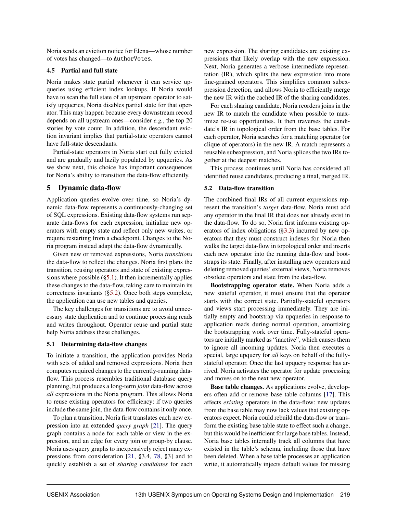Noria sends an eviction notice for Elena—whose number of votes has changed—to AuthorVotes.

#### 4.5 Partial and full state

Noria makes state partial whenever it can service upqueries using efficient index lookups. If Noria would have to scan the full state of an upstream operator to satisfy upqueries, Noria disables partial state for that operator. This may happen because every downstream record depends on all upstream ones—consider *e.g.*, the top 20 stories by vote count. In addition, the descendant eviction invariant implies that partial-state operators cannot have full-state descendants.

Partial-state operators in Noria start out fully evicted and are gradually and lazily populated by upqueries. As we show next, this choice has important consequences for Noria's ability to transition the data-flow efficiently.

## 5 Dynamic data-flow

Application queries evolve over time, so Noria's dynamic data-flow represents a continuously-changing set of SQL expressions. Existing data-flow systems run separate data-flows for each expression, initialize new operators with empty state and reflect only new writes, or require restarting from a checkpoint. Changes to the Noria program instead adapt the data-flow dynamically.

Given new or removed expressions, Noria *transitions* the data-flow to reflect the changes. Noria first plans the transition, reusing operators and state of existing expressions where possible  $(\S 5.1)$ . It then incrementally applies these changes to the data-flow, taking care to maintain its correctness invariants (§5.2). Once both steps complete, the application can use new tables and queries.

The key challenges for transitions are to avoid unnecessary state duplication and to continue processing reads and writes throughout. Operator reuse and partial state help Noria address these challenges.

#### 5.1 Determining data-flow changes

To initiate a transition, the application provides Noria with sets of added and removed expressions. Noria then computes required changes to the currently-running dataflow. This process resembles traditional database query planning, but produces a long-term *joint* data-flow across *all* expressions in the Noria program. This allows Noria to reuse existing operators for efficiency: if two queries include the same join, the data-flow contains it only once.

To plan a transition, Noria first translates each new expression into an extended *query graph* [21]. The query graph contains a node for each table or view in the expression, and an edge for every join or group-by clause. Noria uses query graphs to inexpensively reject many expressions from consideration [21, §3.4, 78, §3] and to quickly establish a set of *sharing candidates* for each new expression. The sharing candidates are existing expressions that likely overlap with the new expression. Next, Noria generates a verbose intermediate representation (IR), which splits the new expression into more fine-grained operators. This simplifies common subexpression detection, and allows Noria to efficiently merge the new IR with the cached IR of the sharing candidates.

For each sharing candidate, Noria reorders joins in the new IR to match the candidate when possible to maximize re-use opportunities. It then traverses the candidate's IR in topological order from the base tables. For each operator, Noria searches for a matching operator (or clique of operators) in the new IR. A match represents a reusable subexpression, and Noria splices the two IRs together at the deepest matches.

This process continues until Noria has considered all identified reuse candidates, producing a final, merged IR.

#### 5.2 Data-flow transition

The combined final IRs of all current expressions represent the transition's *target* data-flow. Noria must add any operator in the final IR that does not already exist in the data-flow. To do so, Noria first informs existing operators of index obligations (§3.3) incurred by new operators that they must construct indexes for. Noria then walks the target data-flow in topological order and inserts each new operator into the running data-flow and bootstraps its state. Finally, after installing new operators and deleting removed queries' external views, Noria removes obsolete operators and state from the data-flow.

Bootstrapping operator state. When Noria adds a new stateful operator, it must ensure that the operator starts with the correct state. Partially-stateful operators and views start processing immediately. They are initially empty and bootstrap via upqueries in response to application reads during normal operation, amortizing the bootstrapping work over time. Fully-stateful operators are initially marked as "inactive", which causes them to ignore all incoming updates. Noria then executes a special, large upquery for *all* keys on behalf of the fullystateful operator. Once the last upquery response has arrived, Noria activates the operator for update processing and moves on to the next new operator.

Base table changes. As applications evolve, developers often add or remove base table columns [17]. This affects *existing* operators in the data-flow: new updates from the base table may now lack values that existing operators expect. Noria could rebuild the data-flow or transform the existing base table state to effect such a change, but this would be inefficient for large base tables. Instead, Noria base tables internally track all columns that have existed in the table's schema, including those that have been deleted. When a base table processes an application write, it automatically injects default values for missing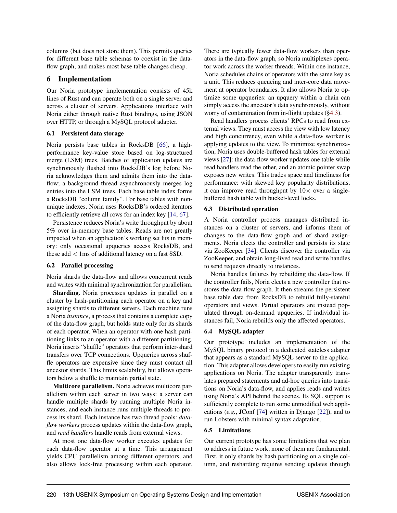columns (but does not store them). This permits queries for different base table schemas to coexist in the dataflow graph, and makes most base table changes cheap.

## 6 Implementation

Our Noria prototype implementation consists of 45k lines of Rust and can operate both on a single server and across a cluster of servers. Applications interface with Noria either through native Rust bindings, using JSON over HTTP, or through a MySQL protocol adapter.

#### 6.1 Persistent data storage

Noria persists base tables in RocksDB [66], a highperformance key-value store based on log-structured merge (LSM) trees. Batches of application updates are synchronously flushed into RocksDB's log before Noria acknowledges them and admits them into the dataflow; a background thread asynchronously merges log entries into the LSM trees. Each base table index forms a RocksDB "column family". For base tables with nonunique indexes, Noria uses RocksDB's ordered iterators to efficiently retrieve all rows for an index key [14, 67].

Persistence reduces Noria's write throughput by about 5% over in-memory base tables. Reads are not greatly impacted when an application's working set fits in memory: only occasional upqueries access RocksDB, and these  $add < 1ms$  of additional latency on a fast SSD.

## 6.2 Parallel processing

Noria shards the data-flow and allows concurrent reads and writes with minimal synchronization for parallelism.

Sharding. Noria processes updates in parallel on a cluster by hash-partitioning each operator on a key and assigning shards to different servers. Each machine runs a Noria *instance*, a process that contains a complete copy of the data-flow graph, but holds state only for its shards of each operator. When an operator with one hash partitioning links to an operator with a different partitioning, Noria inserts "shuffle" operators that perform inter-shard transfers over TCP connections. Upqueries across shuffle operators are expensive since they must contact all ancestor shards. This limits scalability, but allows operators below a shuffle to maintain partial state.

Multicore parallelism. Noria achieves multicore parallelism within each server in two ways: a server can handle multiple shards by running multiple Noria instances, and each instance runs multiple threads to process its shard. Each instance has two thread pools: *dataflow workers* process updates within the data-flow graph, and *read handlers* handle reads from external views.

At most one data-flow worker executes updates for each data-flow operator at a time. This arrangement yields CPU parallelism among different operators, and also allows lock-free processing within each operator. There are typically fewer data-flow workers than operators in the data-flow graph, so Noria multiplexes operator work across the worker threads. Within one instance, Noria schedules chains of operators with the same key as a unit. This reduces queueing and inter-core data movement at operator boundaries. It also allows Noria to optimize some upqueries: an upquery within a chain can simply access the ancestor's data synchronously, without worry of contamination from in-flight updates (§4.3).

Read handlers process clients' RPCs to read from external views. They must access the view with low latency and high concurrency, even while a data-flow worker is applying updates to the view. To minimize synchronization, Noria uses double-buffered hash tables for external views [27]: the data-flow worker updates one table while read handlers read the other, and an atomic pointer swap exposes new writes. This trades space and timeliness for performance: with skewed key popularity distributions, it can improve read throughput by  $10\times$  over a singlebuffered hash table with bucket-level locks.

## 6.3 Distributed operation

A Noria controller process manages distributed instances on a cluster of servers, and informs them of changes to the data-flow graph and of shard assignments. Noria elects the controller and persists its state via ZooKeeper [34]. Clients discover the controller via ZooKeeper, and obtain long-lived read and write handles to send requests directly to instances.

Noria handles failures by rebuilding the data-flow. If the controller fails, Noria elects a new controller that restores the data-flow graph. It then streams the persistent base table data from RocksDB to rebuild fully-stateful operators and views. Partial operators are instead populated through on-demand upqueries. If individual instances fail, Noria rebuilds only the affected operators.

## 6.4 MySQL adapter

Our prototype includes an implementation of the MySQL binary protocol in a dedicated stateless adapter that appears as a standard MySQL server to the application. This adapter allows developers to easily run existing applications on Noria. The adapter transparently translates prepared statements and ad-hoc queries into transitions on Noria's data-flow, and applies reads and writes using Noria's API behind the scenes. Its SQL support is sufficiently complete to run some unmodified web applications (*e.g.*, JConf [74] written in Django [22]), and to run Lobsters with minimal syntax adaptation.

## 6.5 Limitations

Our current prototype has some limitations that we plan to address in future work; none of them are fundamental. First, it only shards by hash partitioning on a single column, and resharding requires sending updates through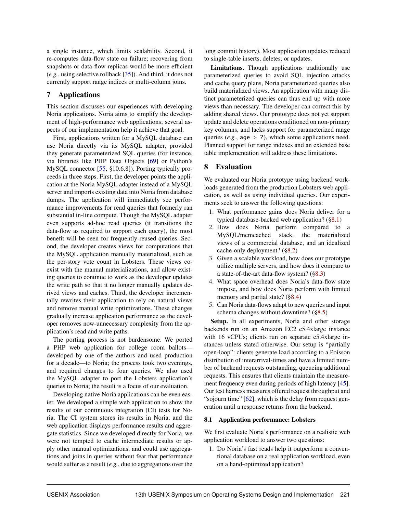a single instance, which limits scalability. Second, it re-computes data-flow state on failure; recovering from snapshots or data-flow replicas would be more efficient (*e.g.*, using selective rollback [35]). And third, it does not currently support range indices or multi-column joins.

## 7 Applications

This section discusses our experiences with developing Noria applications. Noria aims to simplify the development of high-performance web applications; several aspects of our implementation help it achieve that goal.

First, applications written for a MySQL database can use Noria directly via its MySQL adapter, provided they generate parameterized SQL queries (for instance, via libraries like PHP Data Objects [69] or Python's MySQL connector [55, §10.6.8]). Porting typically proceeds in three steps. First, the developer points the application at the Noria MySQL adapter instead of a MySQL server and imports existing data into Noria from database dumps. The application will immediately see performance improvements for read queries that formerly ran substantial in-line compute. Though the MySQL adapter even supports ad-hoc read queries (it transitions the data-flow as required to support each query), the most benefit will be seen for frequently-reused queries. Second, the developer creates views for computations that the MySQL application manually materialized, such as the per-story vote count in Lobsters. These views coexist with the manual materializations, and allow existing queries to continue to work as the developer updates the write path so that it no longer manually updates derived views and caches. Third, the developer incrementally rewrites their application to rely on natural views and remove manual write optimizations. These changes gradually increase application performance as the developer removes now-unnecessary complexity from the application's read and write paths.

The porting process is not burdensome. We ported a PHP web application for college room ballots developed by one of the authors and used production for a decade—to Noria; the process took two evenings, and required changes to four queries. We also used the MySQL adapter to port the Lobsters application's queries to Noria; the result is a focus of our evaluation.

Developing native Noria applications can be even easier. We developed a simple web application to show the results of our continuous integration (CI) tests for Noria. The CI system stores its results in Noria, and the web application displays performance results and aggregate statistics. Since we developed directly for Noria, we were not tempted to cache intermediate results or apply other manual optimizations, and could use aggregations and joins in queries without fear that performance would suffer as a result (*e.g.*, due to aggregations over the long commit history). Most application updates reduced to single-table inserts, deletes, or updates.

Limitations. Though applications traditionally use parameterized queries to avoid SQL injection attacks and cache query plans, Noria parameterized queries also build materialized views. An application with many distinct parameterized queries can thus end up with more views than necessary. The developer can correct this by adding shared views. Our prototype does not yet support update and delete operations conditioned on non-primary key columns, and lacks support for parameterized range queries (*e.g.*, age > ?), which some applications need. Planned support for range indexes and an extended base table implementation will address these limitations.

## 8 Evaluation

We evaluated our Noria prototype using backend workloads generated from the production Lobsters web application, as well as using individual queries. Our experiments seek to answer the following questions:

- 1. What performance gains does Noria deliver for a typical database-backed web application? (§8.1)
- 2. How does Noria perform compared to a MySQL/memcached stack, the materialized views of a commercial database, and an idealized cache-only deployment? (§8.2)
- 3. Given a scalable workload, how does our prototype utilize multiple servers, and how does it compare to a state-of-the-art data-flow system? (§8.3)
- 4. What space overhead does Noria's data-flow state impose, and how does Noria perform with limited memory and partial state? (§8.4)
- 5. Can Noria data-flows adapt to new queries and input schema changes without downtime? (§8.5)

Setup. In all experiments, Noria and other storage backends run on an Amazon EC2 c5.4xlarge instance with 16 vCPUs; clients run on separate c5.4xlarge instances unless stated otherwise. Our setup is "partially open-loop": clients generate load according to a Poisson distribution of interarrival-times and have a limited number of backend requests outstanding, queueing additional requests. This ensures that clients maintain the measurement frequency even during periods of high latency [45]. Our test harness measures offered request throughput and "sojourn time" [62], which is the delay from request generation until a response returns from the backend.

## 8.1 Application performance: Lobsters

We first evaluate Noria's performance on a realistic web application workload to answer two questions:

1. Do Noria's fast reads help it outperform a conventional database on a real application workload, even on a hand-optimized application?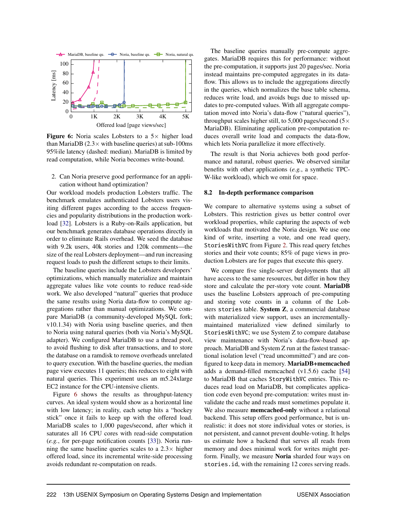

**Figure 6:** Noria scales Lobsters to a  $5 \times$  higher load than MariaDB ( $2.3 \times$  with baseline queries) at sub-100ms 95%ile latency (dashed: median). MariaDB is limited by read computation, while Noria becomes write-bound.

2. Can Noria preserve good performance for an application without hand optimization?

Our workload models production Lobsters traffic. The benchmark emulates authenticated Lobsters users visiting different pages according to the access frequencies and popularity distributions in the production workload [32]. Lobsters is a Ruby-on-Rails application, but our benchmark generates database operations directly in order to eliminate Rails overhead. We seed the database with 9.2k users, 40k stories and 120k comments—the size of the real Lobsters deployment—and run increasing request loads to push the different setups to their limits.

The baseline queries include the Lobsters developers' optimizations, which manually materialize and maintain aggregate values like vote counts to reduce read-side work. We also developed "natural" queries that produce the same results using Noria data-flow to compute aggregations rather than manual optimizations. We compare MariaDB (a community-developed MySQL fork; v10.1.34) with Noria using baseline queries, and then to Noria using natural queries (both via Noria's MySQL adapter). We configured MariaDB to use a thread pool, to avoid flushing to disk after transactions, and to store the database on a ramdisk to remove overheads unrelated to query execution. With the baseline queries, the median page view executes 11 queries; this reduces to eight with natural queries. This experiment uses an m5.24xlarge EC2 instance for the CPU-intensive clients.

Figure 6 shows the results as throughput-latency curves. An ideal system would show as a horizontal line with low latency; in reality, each setup hits a "hockey stick" once it fails to keep up with the offered load. MariaDB scales to 1,000 pages/second, after which it saturates all 16 CPU cores with read-side computation (*e.g.*, for per-page notification counts [33]). Noria running the same baseline queries scales to a  $2.3\times$  higher offered load, since its incremental write-side processing avoids redundant re-computation on reads.

The baseline queries manually pre-compute aggregates. MariaDB requires this for performance: without the pre-computation, it supports just 20 pages/sec. Noria instead maintains pre-computed aggregates in its dataflow. This allows us to include the aggregations directly in the queries, which normalizes the base table schema, reduces write load, and avoids bugs due to missed updates to pre-computed values. With all aggregate computation moved into Noria's data-flow ("natural queries"), throughput scales higher still, to 5,000 pages/second ( $5 \times$ MariaDB). Eliminating application pre-computation reduces overall write load and compacts the data-flow, which lets Noria parallelize it more effectively.

The result is that Noria achieves both good performance and natural, robust queries. We observed similar benefits with other applications (*e.g.*, a synthetic TPC-W-like workload), which we omit for space.

#### 8.2 In-depth performance comparison

We compare to alternative systems using a subset of Lobsters. This restriction gives us better control over workload properties, while capturing the aspects of web workloads that motivated the Noria design. We use one kind of write, inserting a vote, and one read query, StoriesWithVC from Figure 2. This read query fetches stories and their vote counts; 85% of page views in production Lobsters are for pages that execute this query.

We compare five single-server deployments that all have access to the same resources, but differ in how they store and calculate the per-story vote count. MariaDB uses the baseline Lobsters approach of pre-computing and storing vote counts in a column of the Lobsters stories table. System Z, a commercial database with materialized view support, uses an incrementallymaintained materialized view defined similarly to StoriesWithVC; we use System Z to compare database view maintenance with Noria's data-flow-based approach. MariaDB and System Z run at the fastest transactional isolation level ("read uncommitted") and are configured to keep data in memory. MariaDB+memcached adds a demand-filled memcached (v1.5.6) cache [54] to MariaDB that caches StoryWithVC entries. This reduces read load on MariaDB, but complicates application code even beyond pre-computation: writes must invalidate the cache and reads must sometimes populate it. We also measure memcached-only without a relational backend. This setup offers good performance, but is unrealistic: it does not store individual votes or stories, is not persistent, and cannot prevent double-voting. It helps us estimate how a backend that serves all reads from memory and does minimal work for writes might perform. Finally, we measure Noria sharded four ways on stories.id, with the remaining 12 cores serving reads.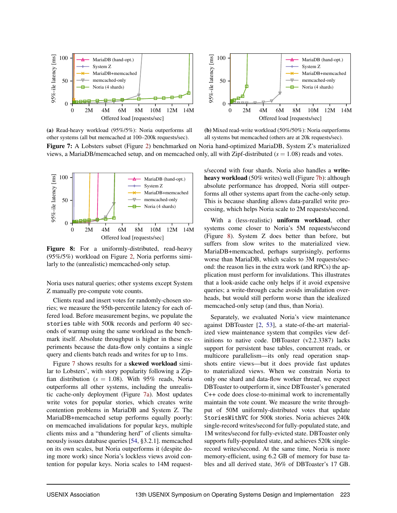

(a) Read-heavy workload (95%/5%): Noria outperforms all other systems (all but memcached at 100–200k requests/sec).

(b) Mixed read-write workload (50%/50%): Noria outperforms all systems but memcached (others are at 20k requests/sec).

Figure 7: A Lobsters subset (Figure 2) benchmarked on Noria hand-optimized MariaDB, System Z's materialized views, a MariaDB/memcached setup, and on memcached only, all with Zipf-distributed  $(s = 1.08)$  reads and votes.



Figure 8: For a uniformly-distributed, read-heavy (95%/5%) workload on Figure 2, Noria performs similarly to the (unrealistic) memcached-only setup.

Noria uses natural queries; other systems except System Z manually pre-compute vote counts.

Clients read and insert votes for randomly-chosen stories; we measure the 95th-percentile latency for each offered load. Before measurement begins, we populate the stories table with 500k records and perform 40 seconds of warmup using the same workload as the benchmark itself. Absolute throughput is higher in these experiments because the data-flow only contains a single query and clients batch reads and writes for up to 1ms.

Figure 7 shows results for a skewed workload similar to Lobsters', with story popularity following a Zipfian distribution ( $s = 1.08$ ). With 95% reads, Noria outperforms all other systems, including the unrealistic cache-only deployment (Figure 7a). Most updates write votes for popular stories, which creates write contention problems in MariaDB and System Z. The MariaDB+memcached setup performs equally poorly: on memcached invalidations for popular keys, multiple clients miss and a "thundering herd" of clients simultaneously issues database queries [54, §3.2.1]. memcached on its own scales, but Noria outperforms it (despite doing more work) since Noria's lockless views avoid contention for popular keys. Noria scales to 14M requests/second with four shards. Noria also handles a writeheavy workload (50% writes) well (Figure 7b): although absolute performance has dropped, Noria still outperforms all other systems apart from the cache-only setup. This is because sharding allows data-parallel write processing, which helps Noria scale to 2M requests/second.

With a (less-realistic) uniform workload, other systems come closer to Noria's 5M requests/second (Figure 8). System Z does better than before, but suffers from slow writes to the materialized view. MariaDB+memcached, perhaps surprisingly, performs worse than MariaDB, which scales to 3M requests/second: the reason lies in the extra work (and RPCs) the application must perform for invalidations. This illustrates that a look-aside cache only helps if it avoid expensive queries; a write-through cache avoids invalidation overheads, but would still perform worse than the idealized memcached-only setup (and thus, than Noria).

Separately, we evaluated Noria's view maintenance against DBToaster [2, 53], a state-of-the-art materialized view maintenance system that compiles view definitions to native code. DBToaster (v2.2.3387) lacks support for persistent base tables, concurrent reads, or multicore parallelism—its only read operation snapshots entire views—but it does provide fast updates to materialized views. When we constrain Noria to only one shard and data-flow worker thread, we expect DBToaster to outperform it, since DBToaster's generated C++ code does close-to-minimal work to incrementally maintain the vote count. We measure the write throughput of 50M uniformly-distributed votes that update StoriesWithVC for 500k stories. Noria achieves 240k single-record writes/second for fully-populated state, and 1M writes/second for fully-evicted state. DBToaster only supports fully-populated state, and achieves 520k singlerecord writes/second. At the same time, Noria is more memory-efficient, using 6.2 GB of memory for base tables and all derived state, 36% of DBToaster's 17 GB.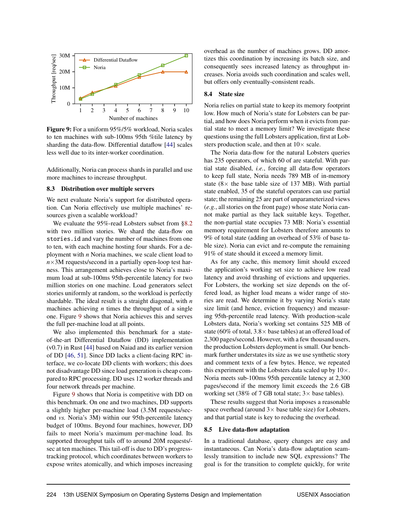

Figure 9: For a uniform 95%/5% workload, Noria scales to ten machines with sub-100ms 95th %tile latency by sharding the data-flow. Differential dataflow [44] scales less well due to its inter-worker coordination.

Additionally, Noria can process shards in parallel and use more machines to increase throughput.

#### 8.3 Distribution over multiple servers

We next evaluate Noria's support for distributed operation. Can Noria effectively use multiple machines' resources given a scalable workload?

We evaluate the 95%-read Lobsters subset from §8.2 with two million stories. We shard the data-flow on stories.id and vary the number of machines from one to ten, with each machine hosting four shards. For a deployment with *n* Noria machines, we scale client load to  $n \times 3M$  requests/second in a partially open-loop test harness. This arrangement achieves close to Noria's maximum load at sub-100ms 95th-percentile latency for two million stories on one machine. Load generators select stories uniformly at random, so the workload is perfectly shardable. The ideal result is a straight diagonal, with *n* machines achieving *n* times the throughput of a single one. Figure 9 shows that Noria achieves this and serves the full per-machine load at all points.

We also implemented this benchmark for a stateof-the-art Differential Dataflow (DD) implementation (v0.7) in Rust [44] based on Naiad and its earlier version of DD [46, 51]. Since DD lacks a client-facing RPC interface, we co-locate DD clients with workers; this does not disadvantage DD since load generation is cheap compared to RPC processing. DD uses 12 worker threads and four network threads per machine.

Figure 9 shows that Noria is competitive with DD on this benchmark. On one and two machines, DD supports a slightly higher per-machine load (3.5M requests/second *vs.* Noria's 3M) within our 95th-percentile latency budget of 100ms. Beyond four machines, however, DD fails to meet Noria's maximum per-machine load. Its supported throughput tails off to around 20M requests/ sec at ten machines. This tail-off is due to DD's progresstracking protocol, which coordinates between workers to expose writes atomically, and which imposes increasing overhead as the number of machines grows. DD amortizes this coordination by increasing its batch size, and consequently sees increased latency as throughput increases. Noria avoids such coordination and scales well, but offers only eventually-consistent reads.

#### 8.4 State size

Noria relies on partial state to keep its memory footprint low. How much of Noria's state for Lobsters can be partial, and how does Noria perform when it evicts from partial state to meet a memory limit? We investigate these questions using the full Lobsters application, first at Lobsters production scale, and then at  $10\times$  scale.

The Noria data-flow for the natural Lobsters queries has 235 operators, of which 60 of are stateful. With partial state disabled, *i.e.*, forcing all data-flow operators to keep full state, Noria needs 789 MB of in-memory state  $(8 \times$  the base table size of 137 MB). With partial state enabled, 35 of the stateful operators can use partial state; the remaining 25 are part of unparameterized views (*e.g.*, all stories on the front page) whose state Noria cannot make partial as they lack suitable keys. Together, the non-partial state occupies 73 MB: Noria's essential memory requirement for Lobsters therefore amounts to 9% of total state (adding an overhead of 53% of base table size). Noria can evict and re-compute the remaining 91% of state should it exceed a memory limit.

As for any cache, this memory limit should exceed the application's working set size to achieve low read latency and avoid thrashing of evictions and upqueries. For Lobsters, the working set size depends on the offered load, as higher load means a wider range of stories are read. We determine it by varying Noria's state size limit (and hence, eviction frequency) and measuring 95th-percentile read latency. With production-scale Lobsters data, Noria's working set contains 525 MB of state (60% of total,  $3.8 \times$  base tables) at an offered load of 2,300 pages/second. However, with a few thousand users, the production Lobsters deployment is small. Our benchmark further understates its size as we use synthetic story and comment texts of a few bytes. Hence, we repeated this experiment with the Lobsters data scaled up by  $10\times$ . Noria meets sub-100ms 95th percentile latency at 2,300 pages/second if the memory limit exceeds the 2.6 GB working set (38% of 7 GB total state;  $3 \times$  base tables).

These results suggest that Noria imposes a reasonable space overhead (around  $3 \times$  base table size) for Lobsters, and that partial state is key to reducing the overhead.

#### 8.5 Live data-flow adaptation

In a traditional database, query changes are easy and instantaneous. Can Noria's data-flow adaptation seamlessly transition to include new SQL expressions? The goal is for the transition to complete quickly, for write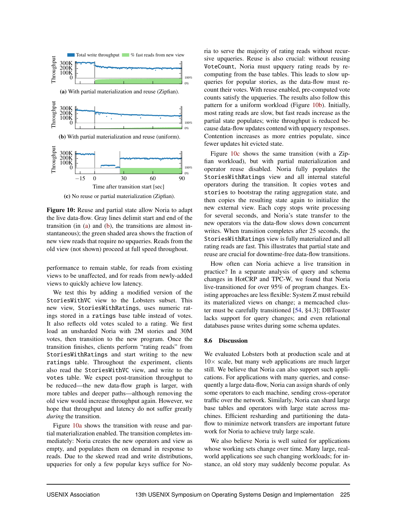

(c) No reuse or partial materialization (Zipfian).

Figure 10: Reuse and partial state allow Noria to adapt the live data-flow. Gray lines delimit start and end of the transition (in (a) and (b), the transitions are almost instantaneous); the green shaded area shows the fraction of new view reads that require no upqueries. Reads from the old view (not shown) proceed at full speed throughout.

performance to remain stable, for reads from existing views to be unaffected, and for reads from newly-added views to quickly achieve low latency.

We test this by adding a modified version of the StoriesWithVC view to the Lobsters subset. This new view, StoriesWithRatings, uses numeric ratings stored in a ratings base table instead of votes. It also reflects old votes scaled to a rating. We first load an unsharded Noria with 2M stories and 30M votes, then transition to the new program. Once the transition finishes, clients perform "rating reads" from StoriesWithRatings and start writing to the new ratings table. Throughout the experiment, clients also read the StoriesWithVC view, and write to the votes table. We expect post-transition throughput to be reduced—the new data-flow graph is larger, with more tables and deeper paths—although removing the old view would increase throughput again. However, we hope that throughput and latency do not suffer greatly *during* the transition.

Figure 10a shows the transition with reuse and partial materialization enabled. The transition completes immediately: Noria creates the new operators and view as empty, and populates them on demand in response to reads. Due to the skewed read and write distributions, upqueries for only a few popular keys suffice for Noria to serve the majority of rating reads without recursive upqueries. Reuse is also crucial: without reusing VoteCount, Noria must upquery rating reads by recomputing from the base tables. This leads to slow upqueries for popular stories, as the data-flow must recount their votes. With reuse enabled, pre-computed vote counts satisfy the upqueries. The results also follow this pattern for a uniform workload (Figure 10b). Initially, most rating reads are slow, but fast reads increase as the partial state populates; write throughput is reduced because data-flow updates contend with upquery responses. Contention increases as more entries populate, since fewer updates hit evicted state.

Figure 10c shows the same transition (with a Zipfian workload), but with partial materialization and operator reuse disabled. Noria fully populates the StoriesWithRatings view and all internal stateful operators during the transition. It copies votes and stories to bootstrap the rating aggregation state, and then copies the resulting state again to initialize the new external view. Each copy stops write processing for several seconds, and Noria's state transfer to the new operators via the data-flow slows down concurrent writes. When transition completes after 25 seconds, the StoriesWithRatings view is fully materialized and all rating reads are fast. This illustrates that partial state and reuse are crucial for downtime-free data-flow transitions.

How often can Noria achieve a live transition in practice? In a separate analysis of query and schema changes in HotCRP and TPC-W, we found that Noria live-transitioned for over 95% of program changes. Existing approaches are less flexible: System Z must rebuild its materialized views on change; a memcached cluster must be carefully transitioned [54, §4.3]; DBToaster lacks support for query changes; and even relational databases pause writes during some schema updates.

## 8.6 Discussion

We evaluated Lobsters both at production scale and at  $10\times$  scale, but many web applications are much larger still. We believe that Noria can also support such applications. For applications with many queries, and consequently a large data-flow, Noria can assign shards of only some operators to each machine, sending cross-operator traffic over the network. Similarly, Noria can shard large base tables and operators with large state across machines. Efficient resharding and partitioning the dataflow to minimize network transfers are important future work for Noria to achieve truly large scale.

We also believe Noria is well suited for applications whose working sets change over time. Many large, realworld applications see such changing workloads; for instance, an old story may suddenly become popular. As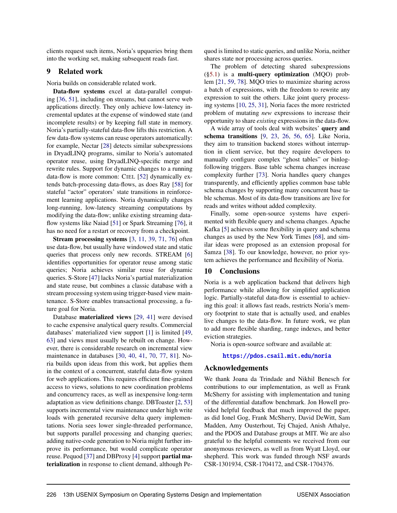clients request such items, Noria's upqueries bring them into the working set, making subsequent reads fast.

## 9 Related work

Noria builds on considerable related work.

Data-flow systems excel at data-parallel computing [36, 51], including on streams, but cannot serve web applications directly. They only achieve low-latency incremental updates at the expense of windowed state (and incomplete results) or by keeping full state in memory. Noria's partially-stateful data-flow lifts this restriction. A few data-flow systems can reuse operators automatically: for example, Nectar [28] detects similar subexpressions in DryadLINQ programs, similar to Noria's automated operator reuse, using DryadLINQ-specific merge and rewrite rules. Support for dynamic changes to a running data-flow is more common: CIEL [52] dynamically extends batch-processing data-flows, as does Ray [58] for stateful "actor" operators' state transitions in reinforcement learning applications. Noria dynamically changes long-running, low-latency streaming computations by modifying the data-flow; unlike existing streaming dataflow systems like Naiad [51] or Spark Streaming [76], it has no need for a restart or recovery from a checkpoint.

Stream processing systems [3, 11, 39, 71, 76] often use data-flow, but usually have windowed state and static queries that process only new records. STREAM [6] identifies opportunities for operator reuse among static queries; Noria achieves similar reuse for dynamic queries. S-Store [47] lacks Noria's partial materialization and state reuse, but combines a classic database with a stream processing system using trigger-based view maintenance. S-Store enables transactional processing, a future goal for Noria.

Database materialized views [29, 41] were devised to cache expensive analytical query results. Commercial databases' materialized view support [1] is limited [49, 63] and views must usually be rebuilt on change. However, there is considerable research on incremental view maintenance in databases [30, 40, 41, 70, 77, 81]. Noria builds upon ideas from this work, but applies them in the context of a concurrent, stateful data-flow system for web applications. This requires efficient fine-grained access to views, solutions to new coordination problems and concurrency races, as well as inexpensive long-term adaptation as view definitions change. DBToaster [2, 53] supports incremental view maintenance under high write loads with generated recursive delta query implementations. Noria sees lower single-threaded performance, but supports parallel processing and changing queries; adding native-code generation to Noria might further improve its performance, but would complicate operator reuse. Pequod [37] and DBProxy [4] support partial materialization in response to client demand, although Pequod is limited to static queries, and unlike Noria, neither shares state nor processing across queries.

The problem of detecting shared subexpressions (§5.1) is a multi-query optimization (MQO) problem [21, 59, 78]. MQO tries to maximize sharing across a batch of expressions, with the freedom to rewrite any expression to suit the others. Like joint query processing systems [10, 25, 31], Noria faces the more restricted problem of mutating *new* expressions to increase their opportunity to share *existing* expressions in the data-flow.

A wide array of tools deal with websites' query and schema transitions [9, 23, 26, 56, 65]. Like Noria, they aim to transition backend stores without interruption in client service, but they require developers to manually configure complex "ghost tables" or binlogfollowing triggers. Base table schema changes increase complexity further [73]. Noria handles query changes transparently, and efficiently applies common base table schema changes by supporting many concurrent base table schemas. Most of its data-flow transitions are live for reads and writes without added complexity.

Finally, some open-source systems have experimented with flexible query and schema changes. Apache Kafka [5] achieves some flexibility in query and schema changes as used by the New York Times [68], and similar ideas were proposed as an extension proposal for Samza [38]. To our knowledge, however, no prior system achieves the performance and flexibility of Noria.

#### 10 Conclusions

Noria is a web application backend that delivers high performance while allowing for simplified application logic. Partially-stateful data-flow is essential to achieving this goal: it allows fast reads, restricts Noria's memory footprint to state that is actually used, and enables live changes to the data-flow. In future work, we plan to add more flexible sharding, range indexes, and better eviction strategies.

Noria is open-source software and available at:

<https://pdos.csail.mit.edu/noria>

#### Acknowledgements

We thank Joana da Trindade and Nikhil Benesch for contributions to our implementation, as well as Frank McSherry for assisting with implementation and tuning of the differential dataflow benchmark. Jon Howell provided helpful feedback that much improved the paper, as did Ionel Gog, Frank McSherry, David DeWitt, Sam Madden, Amy Ousterhout, Tej Chajed, Anish Athalye, and the PDOS and Database groups at MIT. We are also grateful to the helpful comments we received from our anonymous reviewers, as well as from Wyatt Lloyd, our shepherd. This work was funded through NSF awards CSR-1301934, CSR-1704172, and CSR-1704376.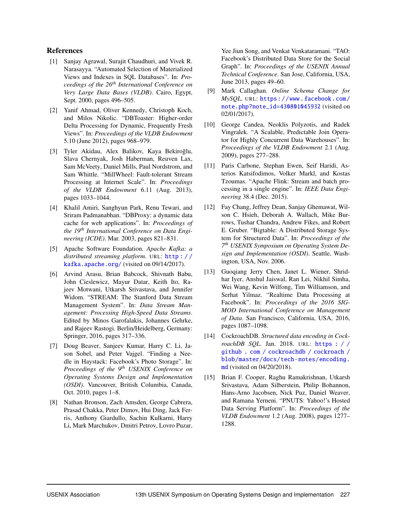## References

- [1] Sanjay Agrawal, Surajit Chaudhuri, and Vivek R. Narasayya. "Automated Selection of Materialized Views and Indexes in SQL Databases". In: *Proceedings of the 26th International Conference on Very Large Data Bases (VLDB)*. Cairo, Egypt, Sept. 2000, pages 496–505.
- [2] Yanif Ahmad, Oliver Kennedy, Christoph Koch, and Milos Nikolic. "DBToaster: Higher-order Delta Processing for Dynamic, Frequently Fresh Views". In: *Proceedings of the VLDB Endowment* 5.10 (June 2012), pages 968–979.
- [3] Tyler Akidau, Alex Balikov, Kaya Bekiroğlu, Slava Chernyak, Josh Haberman, Reuven Lax, Sam McVeety, Daniel Mills, Paul Nordstrom, and Sam Whittle. "MillWheel: Fault-tolerant Stream Processing at Internet Scale". In: *Proceedings of the VLDB Endowment* 6.11 (Aug. 2013), pages 1033–1044.
- [4] Khalil Amiri, Sanghyun Park, Renu Tewari, and Sriram Padmanabhan. "DBProxy: a dynamic data cache for web applications". In: *Proceedings of the 19th International Conference on Data Engineering (ICDE)*. Mar. 2003, pages 821–831.
- [5] Apache Software Foundation. *Apache Kafka: a distributed streaming platform*. URL: [http : / /](http://kafka.apache.org/) [kafka.apache.org/](http://kafka.apache.org/) (visited on 09/14/2017).
- [6] Arvind Arasu, Brian Babcock, Shivnath Babu, John Cieslewicz, Mayur Datar, Keith Ito, Rajeev Motwani, Utkarsh Srivastava, and Jennifer Widom. "STREAM: The Stanford Data Stream Management System". In: *Data Stream Management: Processing High-Speed Data Streams*. Edited by Minos Garofalakis, Johannes Gehrke, and Rajeev Rastogi. Berlin/Heidelberg, Germany: Springer, 2016, pages 317–336.
- [7] Doug Beaver, Sanjeev Kumar, Harry C. Li, Jason Sobel, and Peter Vajgel. "Finding a Needle in Haystack: Facebook's Photo Storage". In: *Proceedings of the 9th USENIX Conference on Operating Systems Design and Implementation (OSDI)*. Vancouver, British Columbia, Canada, Oct. 2010, pages 1–8.
- [8] Nathan Bronson, Zach Amsden, George Cabrera, Prasad Chakka, Peter Dimov, Hui Ding, Jack Ferris, Anthony Giardullo, Sachin Kulkarni, Harry Li, Mark Marchukov, Dmitri Petrov, Lovro Puzar,

Yee Jiun Song, and Venkat Venkataramani. "TAO: Facebook's Distributed Data Store for the Social Graph". In: *Proceedings of the USENIX Annual Technical Conference*. San Jose, California, USA, June 2013, pages 49–60.

- [9] Mark Callaghan. *Online Schema Change for MySQL*. URL: [https://www.facebook.com/](https://www.facebook.com/note.php?note_id=430801045932) [note.php?note\\_id=430801045932](https://www.facebook.com/note.php?note_id=430801045932) (visited on 02/01/2017).
- [10] George Candea, Neoklis Polyzotis, and Radek Vingralek. "A Scalable, Predictable Join Operator for Highly Concurrent Data Warehouses". In: *Proceedings of the VLDB Endowment* 2.1 (Aug. 2009), pages 277–288.
- [11] Paris Carbone, Stephan Ewen, Seif Haridi, Asterios Katsifodimos, Volker Markl, and Kostas Tzoumas. "Apache Flink: Stream and batch processing in a single engine". In: *IEEE Data Engineering* 38.4 (Dec. 2015).
- [12] Fay Chang, Jeffrey Dean, Sanjay Ghemawat, Wilson C. Hsieh, Deborah A. Wallach, Mike Burrows, Tushar Chandra, Andrew Fikes, and Robert E. Gruber. "Bigtable: A Distributed Storage System for Structured Data". In: *Proceedings of the 7 th USENIX Symposium on Operating System Design and Implementation (OSDI)*. Seattle, Washington, USA, Nov. 2006.
- [13] Guogiang Jerry Chen, Janet L. Wiener, Shridhar Iyer, Anshul Jaiswal, Ran Lei, Nikhil Simha, Wei Wang, Kevin Wilfong, Tim Williamson, and Serhat Yilmaz. "Realtime Data Processing at Facebook". In: *Proceedings of the 2016 SIG-MOD International Conference on Management of Data*. San Francisco, California, USA, 2016, pages 1087–1098.
- [14] CockroachDB. *Structured data encoding in CockroachDB SQL*. Jan. 2018. URL: [https : / /](https://github.com/cockroachdb/cockroach/blob/master/docs/tech-notes/encoding.md) [github . com / cockroachdb / cockroach /](https://github.com/cockroachdb/cockroach/blob/master/docs/tech-notes/encoding.md) [blob/master/docs/tech-notes/encoding.](https://github.com/cockroachdb/cockroach/blob/master/docs/tech-notes/encoding.md) [md](https://github.com/cockroachdb/cockroach/blob/master/docs/tech-notes/encoding.md) (visited on 04/20/2018).
- [15] Brian F. Cooper, Raghu Ramakrishnan, Utkarsh Srivastava, Adam Silberstein, Philip Bohannon, Hans-Arno Jacobsen, Nick Puz, Daniel Weaver, and Ramana Yerneni. "PNUTS: Yahoo!'s Hosted Data Serving Platform". In: *Proceedings of the VLDB Endowment* 1.2 (Aug. 2008), pages 1277– 1288.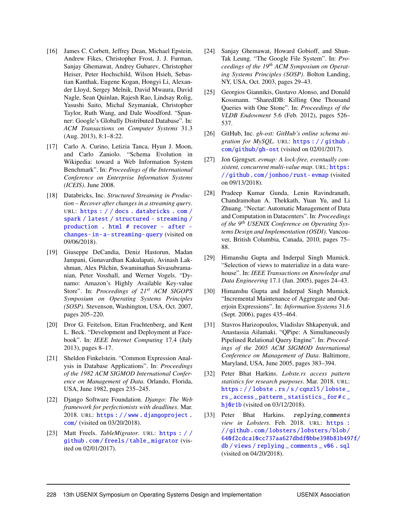- [16] James C. Corbett, Jeffrey Dean, Michael Epstein, Andrew Fikes, Christopher Frost, J. J. Furman, Sanjay Ghemawat, Andrey Gubarev, Christopher Heiser, Peter Hochschild, Wilson Hsieh, Sebastian Kanthak, Eugene Kogan, Hongyi Li, Alexander Lloyd, Sergey Melnik, David Mwaura, David Nagle, Sean Quinlan, Rajesh Rao, Lindsay Rolig, Yasushi Saito, Michal Szymaniak, Christopher Taylor, Ruth Wang, and Dale Woodford. "Spanner: Google's Globally Distributed Database". In: *ACM Transactions on Computer Systems* 31.3 (Aug. 2013), 8:1–8:22.
- [17] Carlo A. Curino, Letizia Tanca, Hyun J. Moon, and Carlo Zaniolo. "Schema Evolution in Wikipedia: toward a Web Information System Benchmark". In: *Proceedings of the International Conference on Enterprise Information Systems (ICEIS)*. June 2008.
- [18] Databricks, Inc. *Structured Streaming in Production – Recover after changes in a streaming query*. URL: [https : / / docs . databricks . com /](https://docs.databricks.com/spark/latest/structured-streaming/production.html#recover-after-changes-in-a-streaming-query) [spark / latest / structured - streaming /](https://docs.databricks.com/spark/latest/structured-streaming/production.html#recover-after-changes-in-a-streaming-query) [production . html # recover - after](https://docs.databricks.com/spark/latest/structured-streaming/production.html#recover-after-changes-in-a-streaming-query)  [changes-in-a-streaming-query](https://docs.databricks.com/spark/latest/structured-streaming/production.html#recover-after-changes-in-a-streaming-query) (visited on 09/06/2018).
- [19] Giuseppe DeCandia, Deniz Hastorun, Madan Jampani, Gunavardhan Kakulapati, Avinash Lakshman, Alex Pilchin, Swaminathan Sivasubramanian, Peter Vosshall, and Werner Vogels. "Dynamo: Amazon's Highly Available Key-value Store". In: *Proceedings of 21st ACM SIGOPS Symposium on Operating Systems Principles (SOSP)*. Stevenson, Washington, USA, Oct. 2007, pages 205–220.
- [20] Dror G. Feitelson, Eitan Frachtenberg, and Kent L. Beck. "Development and Deployment at Facebook". In: *IEEE Internet Computing* 17.4 (July 2013), pages 8–17.
- [21] Sheldon Finkelstein. "Common Expression Analysis in Database Applications". In: *Proceedings of the 1982 ACM SIGMOD International Conference on Management of Data*. Orlando, Florida, USA, June 1982, pages 235–245.
- [22] Django Software Foundation. *Django: The Web framework for perfectionists with deadlines*. Mar. 2018. URL: https : //www.djangoproject. [com/](https://www.djangoproject.com/) (visited on 03/20/2018).
- [23] Matt Freels. *TableMigrator*. URL: [https : / /](https://github.com/freels/table_migrator) [github . com / freels / table \\_ migrator](https://github.com/freels/table_migrator) (visited on 02/01/2017).
- [24] Sanjay Ghemawat, Howard Gobioff, and Shun-Tak Leung. "The Google File System". In: *Proceedings of the 19th ACM Symposium on Operating Systems Principles (SOSP)*. Bolton Landing, NY, USA, Oct. 2003, pages 29–43.
- [25] Georgios Giannikis, Gustavo Alonso, and Donald Kossmann. "SharedDB: Killing One Thousand Queries with One Stone". In: *Proceedings of the VLDB Endowment* 5.6 (Feb. 2012), pages 526– 537.
- [26] GitHub, Inc. *gh-ost: GitHub's online schema migration for MySQL*. URL: [https : / / github .](https://github.com/github/gh-ost) [com/github/gh-ost](https://github.com/github/gh-ost) (visited on 02/01/2017).
- [27] Jon Gjengset. *evmap: A lock-free, eventually consistent, concurrent multi-value map*. URL: [https:](https://github.com/jonhoo/rust-evmap) [//github.com/jonhoo/rust- evmap](https://github.com/jonhoo/rust-evmap) (visited on 09/13/2018).
- [28] Pradeep Kumar Gunda, Lenin Ravindranath, Chandramohan A. Thekkath, Yuan Yu, and Li Zhuang. "Nectar: Automatic Management of Data and Computation in Datacenters". In: *Proceedings of the 9th USENIX Conference on Operating Systems Design and Implementation (OSDI)*. Vancouver, British Columbia, Canada, 2010, pages 75– 88.
- [29] Himanshu Gupta and Inderpal Singh Mumick. "Selection of views to materialize in a data warehouse". In: *IEEE Transactions on Knowledge and Data Engineering* 17.1 (Jan. 2005), pages 24–43.
- [30] Himanshu Gupta and Inderpal Singh Mumick. "Incremental Maintenance of Aggregate and Outerjoin Expressions". In: *Information Systems* 31.6 (Sept. 2006), pages 435–464.
- [31] Stavros Harizopoulos, Vladislav Shkapenyuk, and Anastassia Ailamaki. "QPipe: A Simultaneously Pipelined Relational Query Engine". In: *Proceedings of the 2005 ACM SIGMOD International Conference on Management of Data*. Baltimore, Maryland, USA, June 2005, pages 383–394.
- [32] Peter Bhat Harkins. *Lobste.rs access pattern statistics for research purposes*. Mar. 2018. URL: [https : / / lobste . rs / s / cqnzl5 / lobste \\_](https://lobste.rs/s/cqnzl5/lobste_rs_access_pattern_statistics_for#c_hj0r1b) [rs \\_ access \\_ pattern \\_ statistics \\_ for # c \\_](https://lobste.rs/s/cqnzl5/lobste_rs_access_pattern_statistics_for#c_hj0r1b) [hj0r1b](https://lobste.rs/s/cqnzl5/lobste_rs_access_pattern_statistics_for#c_hj0r1b) (visited on 03/12/2018).
- [33] Peter Bhat Harkins. replying\_comments *view in Lobsters*. Feb. 2018. URL: [https :](https://github.com/lobsters/lobsters/blob/640f2cdca10cc737aa627dbdf0bbe398b81b497f/db/views/replying_comments_v06.sql) [//github.com/lobsters/lobsters/blob/](https://github.com/lobsters/lobsters/blob/640f2cdca10cc737aa627dbdf0bbe398b81b497f/db/views/replying_comments_v06.sql) [640f2cdca10cc737aa627dbdf0bbe398b81b497](https://github.com/lobsters/lobsters/blob/640f2cdca10cc737aa627dbdf0bbe398b81b497f/db/views/replying_comments_v06.sql)f/ [db / views / replying \\_ comments \\_ v06 . sql](https://github.com/lobsters/lobsters/blob/640f2cdca10cc737aa627dbdf0bbe398b81b497f/db/views/replying_comments_v06.sql) (visited on 04/20/2018).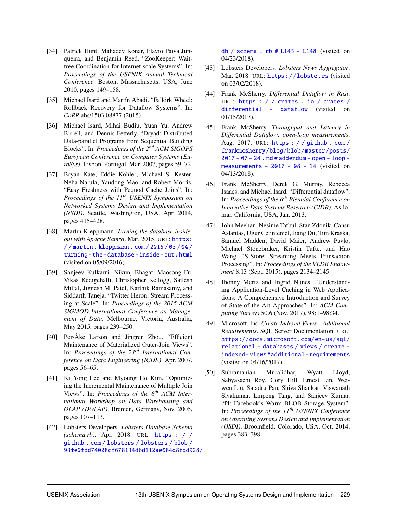- [34] Patrick Hunt, Mahadev Konar, Flavio Paiva Junqueira, and Benjamin Reed. "ZooKeeper: Waitfree Coordination for Internet-scale Systems". In: *Proceedings of the USENIX Annual Technical Conference*. Boston, Massachusetts, USA, June 2010, pages 149–158.
- [35] Michael Isard and Martín Abadi. "Falkirk Wheel: Rollback Recovery for Dataflow Systems". In: *CoRR* abs/1503.08877 (2015).
- [36] Michael Isard, Mihai Budiu, Yuan Yu, Andrew Birrell, and Dennis Fetterly. "Dryad: Distributed Data-parallel Programs from Sequential Building Blocks". In: *Proceedings of the 2nd ACM SIGOPS European Conference on Computer Systems (EuroSys)*. Lisbon, Portugal, Mar. 2007, pages 59–72.
- [37] Bryan Kate, Eddie Kohler, Michael S. Kester, Neha Narula, Yandong Mao, and Robert Morris. "Easy Freshness with Pequod Cache Joins". In: *Proceedings of the 11th USENIX Symposium on Networked Systems Design and Implementation (NSDI)*. Seattle, Washington, USA, Apr. 2014, pages 415–428.
- [38] Martin Kleppmann. *Turning the database insideout with Apache Samza*. Mar. 2015. URL: [https:](https://martin.kleppmann.com/2015/03/04/turning-the-database-inside-out.html) [/ / martin . kleppmann . com / 2015 / 03 / 04 /](https://martin.kleppmann.com/2015/03/04/turning-the-database-inside-out.html) turning-the-database-inside-out.html (visited on 05/09/2016).
- [39] Sanjeev Kulkarni, Nikunj Bhagat, Maosong Fu, Vikas Kedigehalli, Christopher Kellogg, Sailesh Mittal, Jignesh M. Patel, Karthik Ramasamy, and Siddarth Taneja. "Twitter Heron: Stream Processing at Scale". In: *Proceedings of the 2015 ACM SIGMOD International Conference on Management of Data*. Melbourne, Victoria, Australia, May 2015, pages 239–250.
- [40] Per-Åke Larson and Jingren Zhou. "Efficient Maintenance of Materialized Outer-Join Views". In: *Proceedings of the 23rd International Conference on Data Engineering (ICDE)*. Apr. 2007, pages 56–65.
- [41] Ki Yong Lee and Myoung Ho Kim. "Optimizing the Incremental Maintenance of Multiple Join Views". In: *Proceedings of the 8th ACM International Workshop on Data Warehousing and OLAP (DOLAP)*. Bremen, Germany, Nov. 2005, pages 107–113.
- [42] Lobsters Developers. *Lobsters Database Schema (schema.rb)*. Apr. 2018. URL: [https : / /](https://github.com/lobsters/lobsters/blob/93fe0fdd74028cf678134d6d112ae084d8fdd928/db/schema.rb#L145-L148) [github . com / lobsters / lobsters / blob /](https://github.com/lobsters/lobsters/blob/93fe0fdd74028cf678134d6d112ae084d8fdd928/db/schema.rb#L145-L148) [93fe0fdd74028cf678134d6d112ae084d8fdd92](https://github.com/lobsters/lobsters/blob/93fe0fdd74028cf678134d6d112ae084d8fdd928/db/schema.rb#L145-L148)8/

db / schema . rb  $#$  L145 - L148 (visited on 04/23/2018).

- [43] Lobsters Developers. *Lobsters News Aggregator*. Mar. 2018. URL: <https://lobste.rs> (visited on 03/02/2018).
- [44] Frank McSherry. *Differential Dataflow in Rust*. URL: [https : / / crates . io / crates /](https://crates.io/crates/differential-dataflow) [differential - dataflow](https://crates.io/crates/differential-dataflow) (visited on 01/15/2017).
- [45] Frank McSherry. *Throughput and Latency in Differential Dataflow: open-loop measurements*. Aug. 2017. URL: [https : / / github . com /](https://github.com/frankmcsherry/blog/blob/master/posts/2017-07-24.md#addendum-open-loop-measurements-2017-08-14) [frankmcsherry/blog/blob/master/posts/](https://github.com/frankmcsherry/blog/blob/master/posts/2017-07-24.md#addendum-open-loop-measurements-2017-08-14)  $2017 - 07 - 24$ . md # addendum - open - loop [measurements - 2017 - 08 - 14](https://github.com/frankmcsherry/blog/blob/master/posts/2017-07-24.md#addendum-open-loop-measurements-2017-08-14) (visited on 04/13/2018).
- [46] Frank McSherry, Derek G. Murray, Rebecca Isaacs, and Michael Isard. "Differential dataflow". In: *Proceedings of the 6th Biennial Conference on Innovative Data Systems Research (CIDR)*. Asilomar, California, USA, Jan. 2013.
- [47] John Meehan, Nesime Tatbul, Stan Zdonik, Cansu Aslantas, Ugur Cetintemel, Jiang Du, Tim Kraska, Samuel Madden, David Maier, Andrew Pavlo, Michael Stonebraker, Kristin Tufte, and Hao Wang. "S-Store: Streaming Meets Transaction Processing". In: *Proceedings of the VLDB Endowment* 8.13 (Sept. 2015), pages 2134–2145.
- [48] Jhonny Mertz and Ingrid Nunes. "Understanding Application-Level Caching in Web Applications: A Comprehensive Introduction and Survey of State-of-the-Art Approaches". In: *ACM Computing Surveys* 50.6 (Nov. 2017), 98:1–98:34.
- [49] Microsoft, Inc. *Create Indexed Views Additional Requirements*. SQL Server Documentation. URL: [https://docs.microsoft.com/en-us/sql/](https://docs.microsoft.com/en-us/sql/relational-databases/views/create-indexed-views#additional-requirements) [relational - databases / views / create](https://docs.microsoft.com/en-us/sql/relational-databases/views/create-indexed-views#additional-requirements)  [indexed- views#additional- requirements](https://docs.microsoft.com/en-us/sql/relational-databases/views/create-indexed-views#additional-requirements) (visited on 04/16/2017).
- [50] Subramanian Muralidhar, Wyatt Lloyd, Sabyasachi Roy, Cory Hill, Ernest Lin, Weiwen Liu, Satadru Pan, Shiva Shankar, Viswanath Sivakumar, Linpeng Tang, and Sanjeev Kumar. "f4: Facebook's Warm BLOB Storage System". In: *Proceedings of the 11th USENIX Conference on Operating Systems Design and Implementation (OSDI)*. Broomfield, Colorado, USA, Oct. 2014, pages 383–398.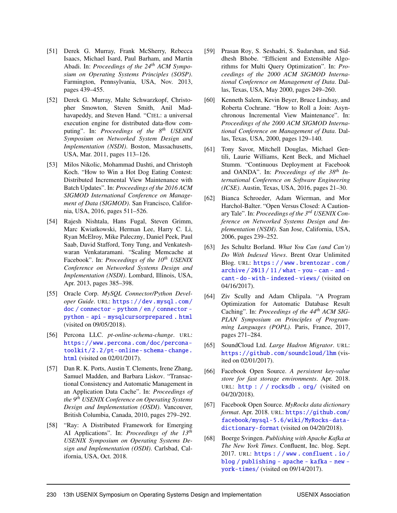- [51] Derek G. Murray, Frank McSherry, Rebecca Isaacs, Michael Isard, Paul Barham, and Martín Abadi. In: *Proceedings of the 24th ACM Symposium on Operating Systems Principles (SOSP)*. Farmington, Pennsylvania, USA, Nov. 2013, pages 439–455.
- [52] Derek G. Murray, Malte Schwarzkopf, Christopher Smowton, Steven Smith, Anil Madhavapeddy, and Steven Hand. "CIEL: a universal execution engine for distributed data-flow computing". In: *Proceedings of the 8th USENIX Symposium on Networked System Design and Implementation (NSDI)*. Boston, Massachusetts, USA, Mar. 2011, pages 113–126.
- [53] Milos Nikolic, Mohammad Dashti, and Christoph Koch. "How to Win a Hot Dog Eating Contest: Distributed Incremental View Maintenance with Batch Updates". In: *Proceedings of the 2016 ACM SIGMOD International Conference on Management of Data (SIGMOD)*. San Francisco, California, USA, 2016, pages 511–526.
- [54] Rajesh Nishtala, Hans Fugal, Steven Grimm, Marc Kwiatkowski, Herman Lee, Harry C. Li, Ryan McElroy, Mike Paleczny, Daniel Peek, Paul Saab, David Stafford, Tony Tung, and Venkateshwaran Venkataramani. "Scaling Memcache at Facebook". In: *Proceedings of the 10th USENIX Conference on Networked Systems Design and Implementation (NSDI)*. Lombard, Illinois, USA, Apr. 2013, pages 385–398.
- [55] Oracle Corp. *MySQL Connector/Python Developer Guide*. URL: [https://dev.mysql.com/](https://dev.mysql.com/doc/connector-python/en/connector-python-api-mysqlcursorprepared.html) [doc / connector - python / en / connector](https://dev.mysql.com/doc/connector-python/en/connector-python-api-mysqlcursorprepared.html)  [python - api - mysqlcursorprepared . html](https://dev.mysql.com/doc/connector-python/en/connector-python-api-mysqlcursorprepared.html) (visited on 09/05/2018).
- [56] Percona LLC. *pt-online-schema-change*. URL: [https://www.percona.com/doc/percona](https://www.percona.com/doc/percona-toolkit/2.2/pt-online-schema-change.html)[toolkit/2.2/pt- online- schema- change.](https://www.percona.com/doc/percona-toolkit/2.2/pt-online-schema-change.html) [html](https://www.percona.com/doc/percona-toolkit/2.2/pt-online-schema-change.html) (visited on 02/01/2017).
- [57] Dan R. K. Ports, Austin T. Clements, Irene Zhang, Samuel Madden, and Barbara Liskov. "Transactional Consistency and Automatic Management in an Application Data Cache". In: *Proceedings of the 9th USENIX Conference on Operating Systems Design and Implementation (OSDI)*. Vancouver, British Columbia, Canada, 2010, pages 279–292.
- [58] "Ray: A Distributed Framework for Emerging AI Applications". In: *Proceedings of the 13th USENIX Symposium on Operating Systems Design and Implementation (OSDI)*. Carlsbad, California, USA, Oct. 2018.
- [59] Prasan Roy, S. Seshadri, S. Sudarshan, and Siddhesh Bhobe. "Efficient and Extensible Algorithms for Multi Query Optimization". In: *Proceedings of the 2000 ACM SIGMOD International Conference on Management of Data*. Dallas, Texas, USA, May 2000, pages 249–260.
- [60] Kenneth Salem, Kevin Beyer, Bruce Lindsay, and Roberta Cochrane. "How to Roll a Join: Asynchronous Incremental View Maintenance". In: *Proceedings of the 2000 ACM SIGMOD International Conference on Management of Data*. Dallas, Texas, USA, 2000, pages 129–140.
- [61] Tony Savor, Mitchell Douglas, Michael Gentili, Laurie Williams, Kent Beck, and Michael Stumm. "Continuous Deployment at Facebook and OANDA". In: *Proceedings of the 38th International Conference on Software Engineering (ICSE)*. Austin, Texas, USA, 2016, pages 21–30.
- [62] Bianca Schroeder, Adam Wierman, and Mor Harchol-Balter. "Open Versus Closed: A Cautionary Tale". In: *Proceedings of the 3rd USENIX Conference on Networked Systems Design and Implementation (NSDI)*. San Jose, California, USA, 2006, pages 239–252.
- [63] Jes Schultz Borland. *What You Can (and Can't) Do With Indexed Views*. Brent Ozar Unlimited Blog. URL: [https : / / www . brentozar . com /](https://www.brentozar.com/archive/2013/11/what-you-can-and-cant-do-with-indexed-views/) archive  $/ 2013 / 11 /$  what - you - can - and [cant - do - with - indexed - views/](https://www.brentozar.com/archive/2013/11/what-you-can-and-cant-do-with-indexed-views/) (visited on 04/16/2017).
- [64] Ziv Scully and Adam Chlipala. "A Program Optimization for Automatic Database Result Caching". In: *Proceedings of the 44th ACM SIG-PLAN Symposium on Principles of Programming Languages (POPL)*. Paris, France, 2017, pages 271–284.
- [65] SoundCloud Ltd. *Large Hadron Migrator*. URL: <https://github.com/soundcloud/lhm> (visited on 02/01/2017).
- [66] Facebook Open Source. *A persistent key-value store for fast storage environments*. Apr. 2018. URL: [http : / / rocksdb . org/](http://rocksdb.org/) (visited on 04/20/2018).
- [67] Facebook Open Source. *MyRocks data dictionary format*. Apr. 2018. URL: [https://github.com/](https://github.com/facebook/mysql-5.6/wiki/MyRocks-data-dictionary-format) [facebook/mysql-5.6/wiki/MyRocks-data](https://github.com/facebook/mysql-5.6/wiki/MyRocks-data-dictionary-format)[dictionary-format](https://github.com/facebook/mysql-5.6/wiki/MyRocks-data-dictionary-format) (visited on 04/20/2018).
- [68] Boerge Svingen. *Publishing with Apache Kafka at The New York Times*. Confluent, Inc. blog. Sept. 2017. URL: [https : / / www . confluent . io /](https://www.confluent.io/blog/publishing-apache-kafka-new-york-times/) [blog / publishing - apache - kafka - new](https://www.confluent.io/blog/publishing-apache-kafka-new-york-times/)  [york-times/](https://www.confluent.io/blog/publishing-apache-kafka-new-york-times/) (visited on 09/14/2017).